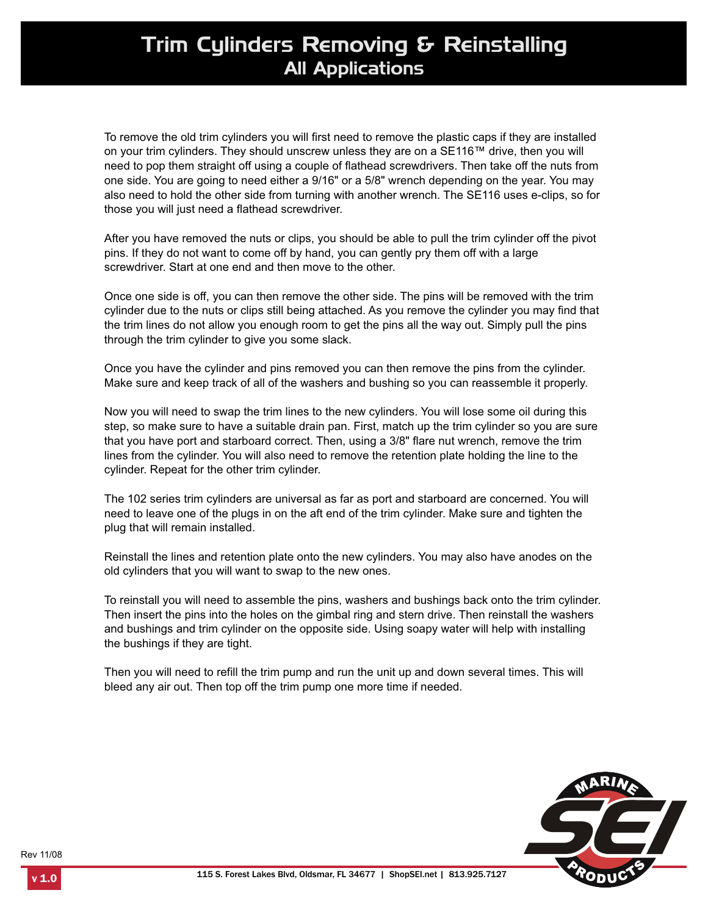## Trim Cylinders Removing & Reinstalling All Applications

To remove the old trim cylinders you will first need to remove the plastic caps if they are installed on your trim cylinders. They should unscrew unless they are on a SE116™ drive, then you will need to pop them straight off using a couple of flathead screwdrivers. Then take off the nuts from one side. You are going to need either a 9/16" or a 5/8" wrench depending on the year. You may also need to hold the other side from turning with another wrench. The SE116 uses e-clips, so for those you will just need a flathead screwdriver.

After you have removed the nuts or clips, you should be able to pull the trim cylinder off the pivot pins. If they do not want to come off by hand, you can gently pry them off with a large screwdriver. Start at one end and then move to the other.

Once one side is off, you can then remove the other side. The pins will be removed with the trim cylinder due to the nuts or clips still being attached. As you remove the cylinder you may find that the trim lines do not allow you enough room to get the pins all the way out. Simply pull the pins through the trim cylinder to give you some slack.

Once you have the cylinder and pins removed you can then remove the pins from the cylinder. Make sure and keep track of all of the washers and bushing so you can reassemble it properly.

Now you will need to swap the trim lines to the new cylinders. You will lose some oil during this step, so make sure to have a suitable drain pan. First, match up the trim cylinder so you are sure that you have port and starboard correct. Then, using a 3/8" flare nut wrench, remove the trim lines from the cylinder. You will also need to remove the retention plate holding the line to the cylinder. Repeat for the other trim cylinder.

The 102 series trim cylinders are universal as far as port and starboard are concerned. You will need to leave one of the plugs in on the aft end of the trim cylinder. Make sure and tighten the plug that will remain installed.

Reinstall the lines and retention plate onto the new cylinders. You may also have anodes on the old cylinders that you will want to swap to the new ones.

To reinstall you will need to assemble the pins, washers and bushings back onto the trim cylinder. Then insert the pins into the holes on the gimbal ring and stern drive. Then reinstall the washers and bushings and trim cylinder on the opposite side. Using soapy water will help with installing the bushings if they are tight.

Then you will need to refill the trim pump and run the unit up and down several times. This will bleed any air out. Then top off the trim pump one more time if needed.



Rev 11/08